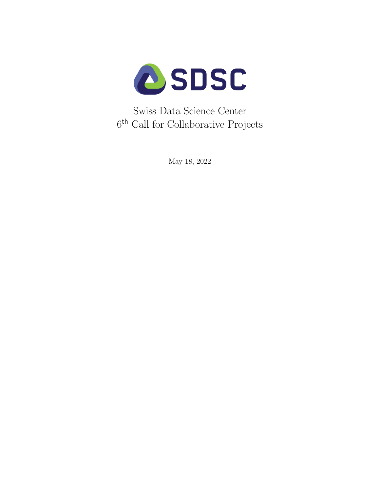

Swiss Data Science Center 6<sup>th</sup> Call for Collaborative Projects

May 18, 2022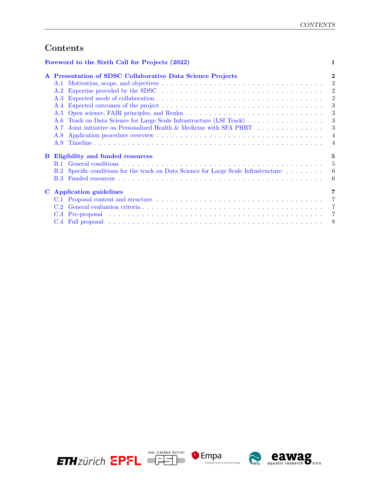# Contents

|   | Foreword to the Sixth Call for Projects (2022)                                          |                |  |
|---|-----------------------------------------------------------------------------------------|----------------|--|
|   | A Presentation of SDSC Collaborative Data Science Projects                              | $\bf{2}$       |  |
|   | A.1                                                                                     | $\overline{2}$ |  |
|   | A.2                                                                                     | $\overline{2}$ |  |
|   | A.3                                                                                     | $\overline{2}$ |  |
|   | A.4                                                                                     | 3              |  |
|   | A.5                                                                                     | 3              |  |
|   | Track on Data Science for Large Scale Infrastructure (LSI Track)<br>A.6                 | 3              |  |
|   | Joint initiative on Personalized Health & Medicine with SFA PHRT<br>A.7                 | 3              |  |
|   | A.8                                                                                     | $\overline{4}$ |  |
|   | A.9                                                                                     | $\overline{4}$ |  |
| В | Eligibility and funded resources                                                        | 5              |  |
|   | <b>B.1</b>                                                                              | 5              |  |
|   | Specific conditions for the track on Data Science for Large Scale Infrastructure<br>B.2 | -6             |  |
|   |                                                                                         | -6             |  |
|   | C Application guidelines                                                                | 7              |  |
|   |                                                                                         | 7              |  |
|   | C.2                                                                                     | 7              |  |
|   |                                                                                         | 7              |  |
|   |                                                                                         | 8              |  |

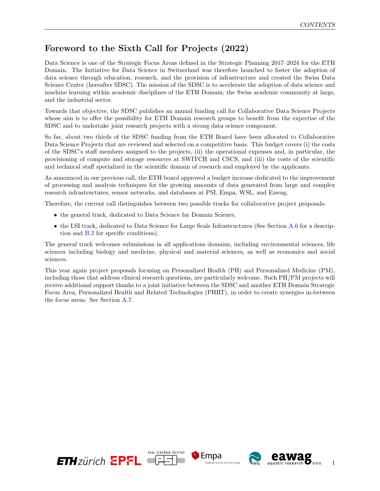## <span id="page-2-0"></span>Foreword to the Sixth Call for Projects (2022)

Data Science is one of the Strategic Focus Areas defined in the Strategic Planning 2017–2024 for the ETH Domain. The Initiative for Data Science in Switzerland was therefore launched to foster the adoption of data science through education, research, and the provision of infrastructure and created the Swiss Data Science Center (hereafter SDSC). The mission of the SDSC is to accelerate the adoption of data science and machine learning within academic disciplines of the ETH Domain, the Swiss academic community at large, and the industrial sector.

Towards that objective, the SDSC publishes an annual funding call for Collaborative Data Science Projects whose aim is to offer the possibility for ETH Domain research groups to benefit from the expertise of the SDSC and to undertake joint research projects with a strong data science component.

So far, about two thirds of the SDSC funding from the ETH Board have been allocated to Collaborative Data Science Projects that are reviewed and selected on a competitive basis. This budget covers (i) the costs of the SDSC's staff members assigned to the projects, (ii) the operational expenses and, in particular, the provisioning of compute and storage resources at SWITCH and CSCS, and (iii) the costs of the scientific and technical staff specialized in the scientific domain of research and employed by the applicants.

As announced in our previous call, the ETH board approved a budget increase dedicated to the improvement of processing and analysis techniques for the growing amounts of data generated from large and complex research infrastructures, sensor networks, and databases at PSI, Empa, WSL, and Eawag.

Therefore, the current call distinguishes between two possible tracks for collaborative project proposals:

- the general track, dedicated to Data Science for Domain Science,
- the LSI track, dedicated to Data Science for Large Scale Infrastructures (See Section [A.6](#page-4-2) for a description and [B.2](#page-7-0) for specific conditions).

The general track welcomes submissions in all applications domains, including environmental sciences, life sciences including biology and medicine, physical and material sciences, as well as economics and social sciences.

This year again project proposals focusing on Personalized Health (PH) and Personalized Medicine (PM), including those that address clinical research questions, are particularly welcome. Such PH/PM projects will receive additional support thanks to a joint initiative between the SDSC and another ETH Domain Strategic Focus Area, Personalized Health and Related Technologies (PHRT), in order to create synergies in-between the focus areas. See Section [A.7.](#page-4-3)

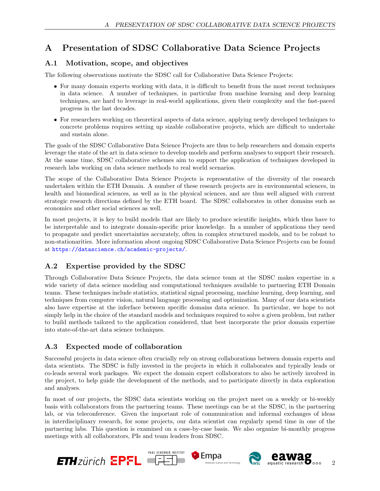# <span id="page-3-0"></span>A Presentation of SDSC Collaborative Data Science Projects

### <span id="page-3-1"></span>A.1 Motivation, scope, and objectives

The following observations motivate the SDSC call for Collaborative Data Science Projects:

- For many domain experts working with data, it is difficult to benefit from the most recent techniques in data science. A number of techniques, in particular from machine learning and deep learning techniques, are hard to leverage in real-world applications, given their complexity and the fast-paced progress in the last decades.
- For researchers working on theoretical aspects of data science, applying newly developed techniques to concrete problems requires setting up sizable collaborative projects, which are difficult to undertake and sustain alone.

The goals of the SDSC Collaborative Data Science Projects are thus to help researchers and domain experts leverage the state of the art in data science to develop models and perform analyses to support their research. At the same time, SDSC collaborative schemes aim to support the application of techniques developed in research labs working on data science methods to real world scenarios.

The scope of the Collaborative Data Science Projects is representative of the diversity of the research undertaken within the ETH Domain. A number of these research projects are in environmental sciences, in health and biomedical sciences, as well as in the physical sciences, and are thus well aligned with current strategic research directions defined by the ETH board. The SDSC collaborates in other domains such as economics and other social sciences as well.

In most projects, it is key to build models that are likely to produce scientific insights, which thus have to be interpretable and to integrate domain-specific prior knowledge. In a number of applications they need to propagate and predict uncertainties accurately, often in complex structured models, and to be robust to non-stationarities. More information about ongoing SDSC Collaborative Data Science Projects can be found at <https://datascience.ch/academic-projects/>.

### <span id="page-3-2"></span>A.2 Expertise provided by the SDSC

Through Collaborative Data Science Projects, the data science team at the SDSC makes expertise in a wide variety of data science modeling and computational techniques available to partnering ETH Domain teams. These techniques include statistics, statistical signal processing, machine learning, deep learning, and techniques from computer vision, natural language processing and optimization. Many of our data scientists also have expertise at the inferface between specific domains data science. In particular, we hope to not simply help in the choice of the standard models and techniques required to solve a given problem, but rather to build methods tailored to the application considered, that best incorporate the prior domain expertise into state-of-the-art data science techniques.

### <span id="page-3-3"></span>A.3 Expected mode of collaboration

Successful projects in data science often crucially rely on strong collaborations between domain experts and data scientists. The SDSC is fully invested in the projects in which it collaborates and typically leads or co-leads several work packages. We expect the domain expert collaborators to also be actively involved in the project, to help guide the development of the methods, and to participate directly in data exploration and analyses.

In most of our projects, the SDSC data scientists working on the project meet on a weekly or bi-weekly basis with collaborators from the partnering teams. These meetings can be at the SDSC, in the partnering lab, or via teleconference. Given the important role of communication and informal exchanges of ideas in interdisciplinary research, for some projects, our data scientist can regularly spend time in one of the partnering labs. This question is examined on a case-by-case basis. We also organize bi-monthly progress meetings with all collaborators, PIs and team leaders from SDSC.

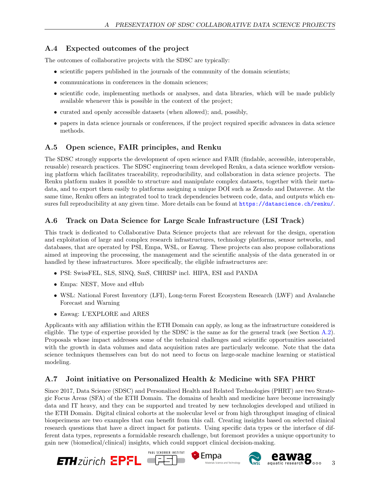### <span id="page-4-0"></span>A.4 Expected outcomes of the project

The outcomes of collaborative projects with the SDSC are typically:

- scientific papers published in the journals of the community of the domain scientists;
- communications in conferences in the domain sciences;
- scientific code, implementing methods or analyses, and data libraries, which will be made publicly available whenever this is possible in the context of the project;
- curated and openly accessible datasets (when allowed); and, possibly,
- papers in data science journals or conferences, if the project required specific advances in data science methods.

### <span id="page-4-1"></span>A.5 Open science, FAIR principles, and Renku

The SDSC strongly supports the development of open science and FAIR (findable, accessible, interoperable, reusable) research practices. The SDSC engineering team developed Renku, a data science workflow versioning platform which facilitates traceability, reproducibility, and collaboration in data science projects. The Renku platform makes it possible to structure and manipulate complex datasets, together with their metadata, and to export them easily to platforms assigning a unique DOI such as Zenodo and Dataverse. At the same time, Renku offers an integrated tool to track dependencies between code, data, and outputs which ensures full reproducibility at any given time. More details can be found at <https://datascience.ch/renku/>.

### <span id="page-4-2"></span>A.6 Track on Data Science for Large Scale Infrastructure (LSI Track)

This track is dedicated to Collaborative Data Science projects that are relevant for the design, operation and exploitation of large and complex research infrastructures, technology platforms, sensor networks, and databases, that are operated by PSI, Empa, WSL, or Eawag. These projects can also propose collaborations aimed at improving the processing, the management and the scientific analysis of the data generated in or handled by these infrastructures. More specifically, the eligible infrastructures are:

- PSI: SwissFEL, SLS, SINQ, SmS, CHRISP incl. HIPA, ESI and PANDA
- Empa: NEST, Move and eHub
- WSL: National Forest Inventory (LFI), Long-term Forest Ecosystem Research (LWF) and Avalanche Forecast and Warning
- Eawag: L'EXPLORE and ARES

Applicants with any affiliation within the ETH Domain can apply, as long as the infrastructure considered is eligible. The type of expertise provided by the SDSC is the same as for the general track (see Section [A.2\)](#page-3-2). Proposals whose impact addresses some of the technical challenges and scientific opportunities associated with the growth in data volumes and data acquisition rates are particularly welcome. Note that the data science techniques themselves can but do not need to focus on large-scale machine learning or statistical modeling.

### <span id="page-4-3"></span>A.7 Joint initiative on Personalized Health & Medicine with SFA PHRT

Since 2017, Data Science (SDSC) and Personalized Health and Related Technologies (PHRT) are two Strategic Focus Areas (SFA) of the ETH Domain. The domains of health and medicine have become increasingly data and IT heavy, and they can be supported and treated by new technologies developed and utilized in the ETH Domain. Digital clinical cohorts at the molecular level or from high throughput imaging of clinical biospecimens are two examples that can benefit from this call. Creating insights based on selected clinical research questions that have a direct impact for patients. Using specific data types or the interface of different data types, represents a formidable research challenge, but foremost provides a unique opportunity to gain new (biomedical/clinical) insights, which could support clinical decision-making.

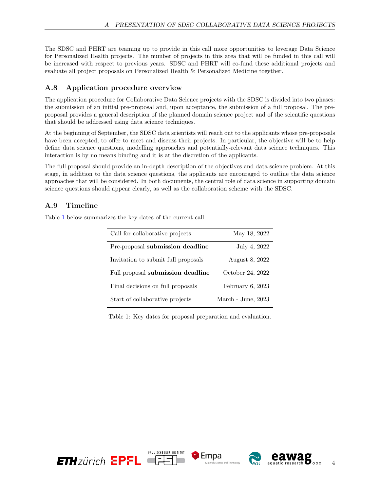The SDSC and PHRT are teaming up to provide in this call more opportunities to leverage Data Science for Personalized Health projects. The number of projects in this area that will be funded in this call will be increased with respect to previous years. SDSC and PHRT will co-fund these additional projects and evaluate all project proposals on Personalized Health & Personalized Medicine together.

### <span id="page-5-0"></span>A.8 Application procedure overview

The application procedure for Collaborative Data Science projects with the SDSC is divided into two phases: the submission of an initial pre-proposal and, upon acceptance, the submission of a full proposal. The preproposal provides a general description of the planned domain science project and of the scientific questions that should be addressed using data science techniques.

At the beginning of September, the SDSC data scientists will reach out to the applicants whose pre-proposals have been accepted, to offer to meet and discuss their projects. In particular, the objective will be to help define data science questions, modelling approaches and potentially-relevant data science techniques. This interaction is by no means binding and it is at the discretion of the applicants.

The full proposal should provide an in-depth description of the objectives and data science problem. At this stage, in addition to the data science questions, the applicants are encouraged to outline the data science approaches that will be considered. In both documents, the central role of data science in supporting domain science questions should appear clearly, as well as the collaboration scheme with the SDSC.

### <span id="page-5-1"></span>A.9 Timeline

Table [1](#page-5-2) below summarizes the key dates of the current call.

| Call for collaborative projects     | May 18, 2022       |
|-------------------------------------|--------------------|
| Pre-proposal submission deadline    | July 4, 2022       |
| Invitation to submit full proposals | August 8, 2022     |
| Full proposal submission deadline   | October 24, 2022   |
| Final decisions on full proposals   | February $6, 2023$ |
| Start of collaborative projects     | March - June, 2023 |

<span id="page-5-2"></span>Table 1: Key dates for proposal preparation and evaluation.

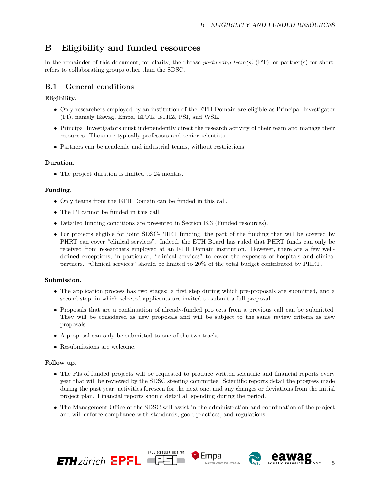## <span id="page-6-0"></span>B Eligibility and funded resources

In the remainder of this document, for clarity, the phrase partnering team(s) (PT), or partner(s) for short, refers to collaborating groups other than the SDSC.

### <span id="page-6-1"></span>B.1 General conditions

#### Eligibility.

- Only researchers employed by an institution of the ETH Domain are eligible as Principal Investigator (PI), namely Eawag, Empa, EPFL, ETHZ, PSI, and WSL.
- Principal Investigators must independently direct the research activity of their team and manage their resources. These are typically professors and senior scientists.
- Partners can be academic and industrial teams, without restrictions.

#### Duration.

• The project duration is limited to 24 months.

#### Funding.

- Only teams from the ETH Domain can be funded in this call.
- The PI cannot be funded in this call.
- Detailed funding conditions are presented in Section B.3 (Funded resources).
- For projects eligible for joint SDSC-PHRT funding, the part of the funding that will be covered by PHRT can cover "clinical services". Indeed, the ETH Board has ruled that PHRT funds can only be received from researchers employed at an ETH Domain institution. However, there are a few welldefined exceptions, in particular, "clinical services" to cover the expenses of hospitals and clinical partners. "Clinical services" should be limited to 20% of the total budget contributed by PHRT.

#### Submission.

- The application process has two stages: a first step during which pre-proposals are submitted, and a second step, in which selected applicants are invited to submit a full proposal.
- Proposals that are a continuation of already-funded projects from a previous call can be submitted. They will be considered as new proposals and will be subject to the same review criteria as new proposals.
- A proposal can only be submitted to one of the two tracks.
- Resubmissions are welcome.

#### Follow up.

- The PIs of funded projects will be requested to produce written scientific and financial reports every year that will be reviewed by the SDSC steering committee. Scientific reports detail the progress made during the past year, activities foreseen for the next one, and any changes or deviations from the initial project plan. Financial reports should detail all spending during the period.
- The Management Office of the SDSC will assist in the administration and coordination of the project and will enforce compliance with standards, good practices, and regulations.





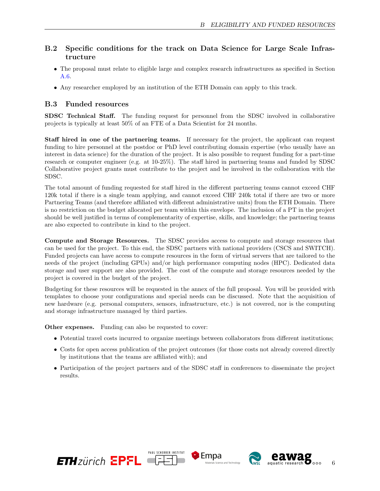### <span id="page-7-0"></span>B.2 Specific conditions for the track on Data Science for Large Scale Infrastructure

- The proposal must relate to eligible large and complex research infrastructures as specified in Section [A.6.](#page-4-2)
- Any researcher employed by an institution of the ETH Domain can apply to this track.

### <span id="page-7-1"></span>B.3 Funded resources

SDSC Technical Staff. The funding request for personnel from the SDSC involved in collaborative projects is typically at least 50% of an FTE of a Data Scientist for 24 months.

Staff hired in one of the partnering teams. If necessary for the project, the applicant can request funding to hire personnel at the postdoc or PhD level contributing domain expertise (who usually have an interest in data science) for the duration of the project. It is also possible to request funding for a part-time research or computer engineer (e.g. at 10-25%). The staff hired in partnering teams and funded by SDSC Collaborative project grants must contribute to the project and be involved in the collaboration with the SDSC.

The total amount of funding requested for staff hired in the different partnering teams cannot exceed CHF 120k total if there is a single team applying, and cannot exceed CHF 240k total if there are two or more Partnering Teams (and therefore affiliated with different administrative units) from the ETH Domain. There is no restriction on the budget allocated per team within this envelope. The inclusion of a PT in the project should be well justified in terms of complementarity of expertise, skills, and knowledge; the partnering teams are also expected to contribute in kind to the project.

Compute and Storage Resources. The SDSC provides access to compute and storage resources that can be used for the project. To this end, the SDSC partners with national providers (CSCS and SWITCH). Funded projects can have access to compute resources in the form of virtual servers that are tailored to the needs of the project (including GPUs) and/or high performance computing nodes (HPC). Dedicated data storage and user support are also provided. The cost of the compute and storage resources needed by the project is covered in the budget of the project.

Budgeting for these resources will be requested in the annex of the full proposal. You will be provided with templates to choose your configurations and special needs can be discussed. Note that the acquisition of new hardware (e.g. personal computers, sensors, infrastructure, etc.) is not covered, nor is the computing and storage infrastructure managed by third parties.

Other expenses. Funding can also be requested to cover:

- Potential travel costs incurred to organize meetings between collaborators from different institutions;
- Costs for open access publication of the project outcomes (for those costs not already covered directly by institutions that the teams are affiliated with); and
- Participation of the project partners and of the SDSC staff in conferences to disseminate the project results.





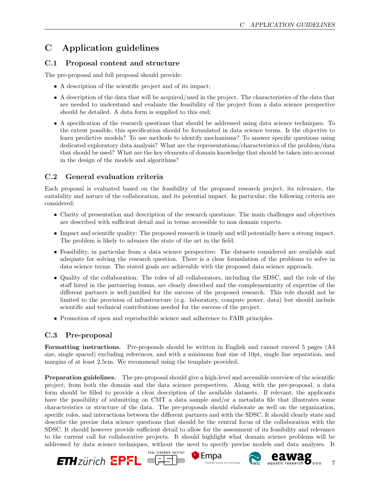# <span id="page-8-0"></span>C Application guidelines

### <span id="page-8-1"></span>C.1 Proposal content and structure

The pre-proposal and full proposal should provide:

- A description of the scientific project and of its impact;
- A description of the data that will be acquired/used in the project. The characteristics of the data that are needed to understand and evaluate the feasibility of the project from a data science perspective should be detailed. A data form is supplied to this end;
- A specification of the research questions that should be addressed using data science techniques. To the extent possible, this specification should be formulated in data science terms. Is the objective to learn predictive models? To use methods to identify mechanisms? To answer specific questions using dedicated exploratory data analysis? What are the representations/characteristics of the problem/data that should be used? What are the key elements of domain knowledge that should be taken into account in the design of the models and algorithms?

### <span id="page-8-2"></span>C.2 General evaluation criteria

Each proposal is evaluated based on the feasibility of the proposed research project, its relevance, the suitability and nature of the collaboration, and its potential impact. In particular, the following criteria are considered:

- Clarity of presentation and description of the research questions: The main challenges and objectives are described with sufficient detail and in terms accessible to non domain experts.
- Impact and scientific quality: The proposed research is timely and will potentially have a strong impact. The problem is likely to advance the state of the art in the field.
- Feasibility, in particular from a data science perspective: The datasets considered are available and adequate for solving the research question. There is a clear formulation of the problems to solve in data science terms. The stated goals are achievable with the proposed data science approach.
- Quality of the collaboration: The roles of all collaborators, including the SDSC, and the role of the staff hired in the partnering teams, are clearly described and the complementarity of expertise of the different partners is well-justified for the success of the proposed research. This role should not be limited to the provision of infrastructure (e.g. laboratory, compute power, data) but should include scientific and technical contributions needed for the success of the project.
- Promotion of open and reproducible science and adherence to FAIR principles.

### <span id="page-8-3"></span>C.3 Pre-proposal

Formatting instructions. Pre-proposals should be written in English and cannot exceed 5 pages (A4 size, single spaced) excluding references, and with a minimum font size of 10pt, single line separation, and margins of at least 2.5cm. We recommend using the template provided.

Preparation guidelines. The pre-proposal should give a high-level and accessible overview of the scientific project, from both the domain and the data science perspectives. Along with the pre-proposal, a data form should be filled to provide a clear description of the available datasets. If relevant, the applicants have the possibility of submitting on CMT a data sample and/or a metadata file that illustrates some characteristics or structure of the data. The pre-proposals should elaborate as well on the organization, specific roles, and interactions between the different partners and with the SDSC. It should clearly state and describe the precise data science questions that should be the central focus of the collaboration with the SDSC. It should however provide sufficient detail to allow for the assessment of its feasibility and relevance to the current call for collaborative projects. It should highlight what domain science problems will be addressed by data science techniques, without the need to specify precise models and data analyses. It

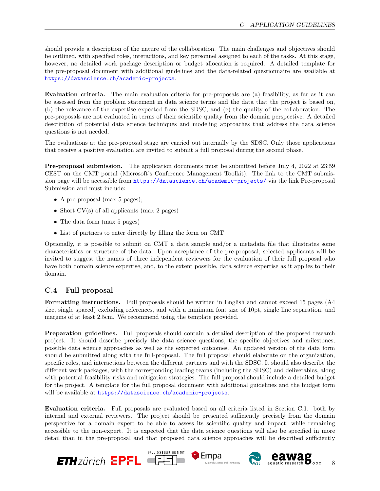should provide a description of the nature of the collaboration. The main challenges and objectives should be outlined, with specified roles, interactions, and key personnel assigned to each of the tasks. At this stage, however, no detailed work package description or budget allocation is required. A detailed template for the pre-proposal document with additional guidelines and the data-related questionnaire are available at <https://datascience.ch/academic-projects>.

Evaluation criteria. The main evaluation criteria for pre-proposals are (a) feasibility, as far as it can be assessed from the problem statement in data science terms and the data that the project is based on, (b) the relevance of the expertise expected from the SDSC, and (c) the quality of the collaboration. The pre-proposals are not evaluated in terms of their scientific quality from the domain perspective. A detailed description of potential data science techniques and modeling approaches that address the data science questions is not needed.

The evaluations at the pre-proposal stage are carried out internally by the SDSC. Only those applications that receive a positive evaluation are invited to submit a full proposal during the second phase.

Pre-proposal submission. The application documents must be submitted before July 4, 2022 at 23:59 CEST on the CMT portal (Microsoft's Conference Management Toolkit). The link to the CMT submission page will be accessible from <https://datascience.ch/academic-projects/> via the link Pre-proposal Submission and must include:

- A pre-proposal (max 5 pages);
- Short CV(s) of all applicants (max 2 pages)
- The data form (max 5 pages)
- List of partners to enter directly by filling the form on CMT

Optionally, it is possible to submit on CMT a data sample and/or a metadata file that illustrates some characteristics or structure of the data. Upon acceptance of the pre-proposal, selected applicants will be invited to suggest the names of three independent reviewers for the evaluation of their full proposal who have both domain science expertise, and, to the extent possible, data science expertise as it applies to their domain.

### <span id="page-9-0"></span>C.4 Full proposal

Formatting instructions. Full proposals should be written in English and cannot exceed 15 pages (A4 size, single spaced) excluding references, and with a minimum font size of 10pt, single line separation, and margins of at least 2.5cm. We recommend using the template provided.

Preparation guidelines. Full proposals should contain a detailed description of the proposed research project. It should describe precisely the data science questions, the specific objectives and milestones, possible data science approaches as well as the expected outcomes. An updated version of the data form should be submitted along with the full-proposal. The full proposal should elaborate on the organization, specific roles, and interactions between the different partners and with the SDSC. It should also describe the different work packages, with the corresponding leading teams (including the SDSC) and deliverables, along with potential feasibility risks and mitigation strategies. The full proposal should include a detailed budget for the project. A template for the full proposal document with additional guidelines and the budget form will be available at <https://datascience.ch/academic-projects>.

Evaluation criteria. Full proposals are evaluated based on all criteria listed in Section C.1. both by internal and external reviewers. The project should be presented sufficiently precisely from the domain perspective for a domain expert to be able to assess its scientific quality and impact, while remaining accessible to the non-expert. It is expected that the data science questions will also be specified in more detail than in the pre-proposal and that proposed data science approaches will be described sufficiently